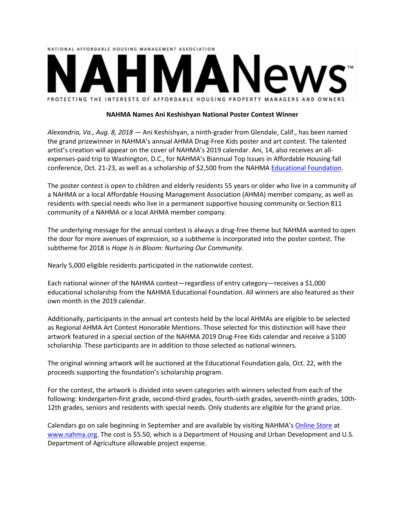

### **NAHMA Names Ani Keshishyan National Poster Contest Winner**

*Alexandria, Va., Aug. 8, 2018 ―* Ani Keshishyan, a ninth-grader from Glendale, Calif., has been named the grand prizewinner in NAHMA's annual AHMA Drug-Free Kids poster and art contest. The talented artist's creation will appear on the cover of NAHMA's 2019 calendar. Ani, 14, also receives an allexpenses-paid trip to Washington, D.C., for NAHMA's Biannual Top Issues in Affordable Housing fall conference, Oct. 21-23, as well as a scholarship of \$2,500 from the NAHMA [Educational Foundation.](https://www.nahma.org/about/educational-foundation/)

The poster contest is open to children and elderly residents 55 years or older who live in a community of a NAHMA or a local Affordable Housing Management Association (AHMA) member company, as well as residents with special needs who live in a permanent supportive housing community or Section 811 community of a NAHMA or a local AHMA member company.

The underlying message for the annual contest is always a drug-free theme but NAHMA wanted to open the door for more avenues of expression, so a subtheme is incorporated into the poster contest. The subtheme for 2018 is *Hope Is in Bloom: Nurturing Our Community*.

Nearly 5,000 eligible residents participated in the nationwide contest.

Each national winner of the NAHMA contest—regardless of entry category—receives a \$1,000 educational scholarship from the NAHMA Educational Foundation. All winners are also featured as their own month in the 2019 calendar.

Additionally, participants in the annual art contests held by the local AHMAs are eligible to be selected as Regional AHMA Art Contest Honorable Mentions. Those selected for this distinction will have their artwork featured in a special section of the NAHMA 2019 Drug-Free Kids calendar and receive a \$100 scholarship. These participants are in addition to those selected as national winners.

The original winning artwork will be auctioned at the Educational Foundation gala, Oct. 22, with the proceeds supporting the foundation's scholarship program.

For the contest, the artwork is divided into seven categories with winners selected from each of the following: kindergarten-first grade, second-third grades, fourth-sixth grades, seventh-ninth grades, 10th-12th grades, seniors and residents with special needs. Only students are eligible for the grand prize.

Calendars go on sale beginning in September and are available by visiting NAHMA'[s Online Store](https://www.nahma.org/store) at [www.nahma.org.](https://www.nahma.org/) The cost is \$5.50, which is a Department of Housing and Urban Development and U.S. Department of Agriculture allowable project expense.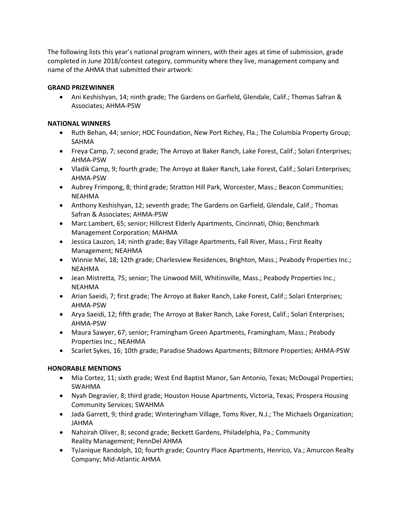The following lists this year's national program winners, with their ages at time of submission, grade completed in June 2018/contest category, community where they live, management company and name of the AHMA that submitted their artwork:

## **GRAND PRIZEWINNER**

• Ani Keshishyan, 14; ninth grade; The Gardens on Garfield, Glendale, Calif.; Thomas Safran & Associates; AHMA-PSW

## **NATIONAL WINNERS**

- Ruth Behan, 44; senior; HDC Foundation, New Port Richey, Fla.; The Columbia Property Group; SAHMA
- Freya Camp, 7; second grade; The Arroyo at Baker Ranch, Lake Forest, Calif.; Solari Enterprises; AHMA-PSW
- Vladik Camp, 9; fourth grade; The Arroyo at Baker Ranch, Lake Forest, Calif.; Solari Enterprises; AHMA-PSW
- Aubrey Frimpong, 8; third grade; Stratton Hill Park, Worcester, Mass.; Beacon Communities; NEAHMA
- Anthony Keshishyan, 12; seventh grade; The Gardens on Garfield, Glendale, Calif.; Thomas Safran & Associates; AHMA-PSW
- Marc Lambert, 65; senior; Hillcrest Elderly Apartments, Cincinnati, Ohio; Benchmark Management Corporation; MAHMA
- Jessica Lauzon, 14; ninth grade; Bay Village Apartments, Fall River, Mass.; First Realty Management; NEAHMA
- Winnie Mei, 18; 12th grade; Charlesview Residences, Brighton, Mass.; Peabody Properties Inc.; NEAHMA
- Jean Mistretta, 75; senior; The Linwood Mill, Whitinsville, Mass.; Peabody Properties Inc.; NEAHMA
- Arian Saeidi, 7; first grade; The Arroyo at Baker Ranch, Lake Forest, Calif.; Solari Enterprises; AHMA-PSW
- Arya Saeidi, 12; fifth grade; The Arroyo at Baker Ranch, Lake Forest, Calif.; Solari Enterprises; AHMA-PSW
- Maura Sawyer, 67; senior; Framingham Green Apartments, Framingham, Mass.; Peabody Properties Inc.; NEAHMA
- Scarlet Sykes, 16; 10th grade; Paradise Shadows Apartments; Biltmore Properties; AHMA-PSW

# **HONORABLE MENTIONS**

- Mia Cortez, 11; sixth grade; West End Baptist Manor, San Antonio, Texas; McDougal Properties; SWAHMA
- Nyah Degravier, 8; third grade; Houston House Apartments, Victoria, Texas; Prospera Housing Community Services; SWAHMA
- Jada Garrett, 9; third grade; Winteringham Village, Toms River, N.J.; The Michaels Organization; JAHMA
- Nahzirah Oliver, 8; second grade; Beckett Gardens, Philadelphia, Pa.; Community Reality Management; PennDel AHMA
- TyJanique Randolph, 10; fourth grade; Country Place Apartments, Henrico, Va.; Amurcon Realty Company; Mid-Atlantic AHMA